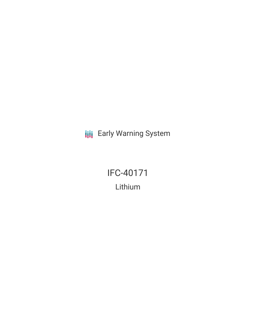**III** Early Warning System

IFC-40171 Lithium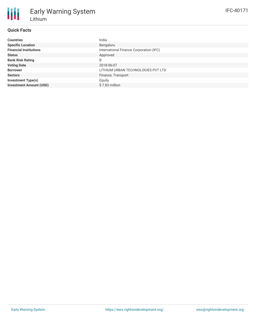# **Quick Facts**

| <b>Countries</b>               | India                                   |
|--------------------------------|-----------------------------------------|
| <b>Specific Location</b>       | Bengaluru                               |
| <b>Financial Institutions</b>  | International Finance Corporation (IFC) |
| <b>Status</b>                  | Approved                                |
| <b>Bank Risk Rating</b>        | B                                       |
| <b>Voting Date</b>             | 2018-06-07                              |
| <b>Borrower</b>                | LITHIUM URBAN TECHNOLOGIES PVT LTD      |
| <b>Sectors</b>                 | Finance, Transport                      |
| <b>Investment Type(s)</b>      | Equity                                  |
| <b>Investment Amount (USD)</b> | \$7.83 million                          |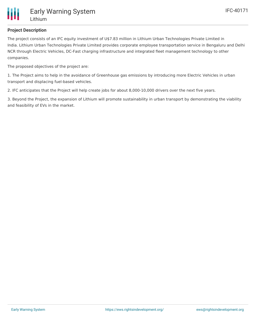

# **Project Description**

The project consists of an IFC equity investment of U\$7.83 million in Lithium Urban Technologies Private Limited in India. Lithium Urban Technologies Private Limited provides corporate employee transportation service in Bengaluru and Delhi NCR through Electric Vehicles, DC-Fast charging infrastructure and integrated fleet management technology to other companies.

The proposed objectives of the project are:

1. The Project aims to help in the avoidance of Greenhouse gas emissions by introducing more Electric Vehicles in urban transport and displacing fuel-based vehicles.

2. IFC anticipates that the Project will help create jobs for about 8,000-10,000 drivers over the next five years.

3. Beyond the Project, the expansion of Lithium will promote sustainability in urban transport by demonstrating the viability and feasibility of EVs in the market.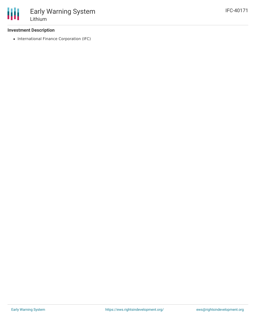## **Investment Description**

• International Finance Corporation (IFC)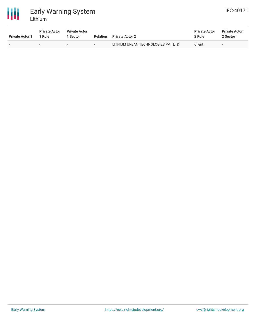



| <b>Private Actor 1</b> | <b>Private Actor</b><br>1 Role | <b>Private Actor</b><br><b>Sector</b> | <b>Relation</b> | <b>Private Actor 2</b>             | <b>Private Actor</b><br>2 Role | <b>Private Actor</b><br>2 Sector |
|------------------------|--------------------------------|---------------------------------------|-----------------|------------------------------------|--------------------------------|----------------------------------|
|                        |                                | $\sim$                                |                 | LITHIUM URBAN TECHNOLOGIES PVT LTD | Client                         | -                                |